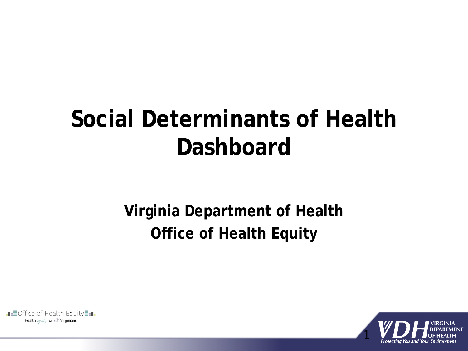## **Social Determinants of Health Dashboard**

## **Virginia Department of Health Office of Health Equity**

**EE**Office of Health Equity Health equity for all Virginians

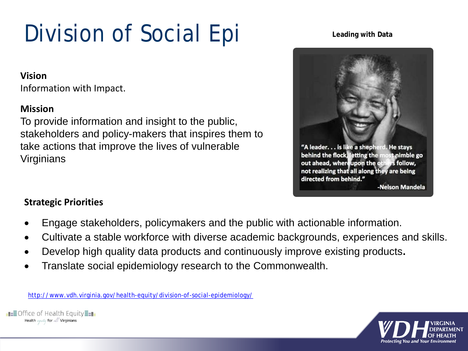# Division of Social Epi

### **Vision**

Information with Impact.

### **Mission**

To provide information and insight to the public, stakeholders and policy-makers that inspires them to take actions that improve the lives of vulnerable Virginians

### **Leading with Data**



### **Strategic Priorities**

- Engage stakeholders, policymakers and the public with actionable information.
- Cultivate a stable workforce with diverse academic backgrounds, experiences and skills.
- Develop high quality data products and continuously improve existing products**.**
- Translate social epidemiology research to the Commonwealth.

<http://www.vdh.virginia.gov/health-equity/division-of-social-epidemiology/>



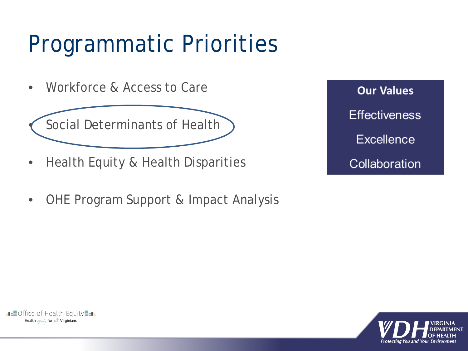# Programmatic Priorities

• Workforce & Access to Care



- Health Equity & Health Disparities
- OHE Program Support & Impact Analysis

**Our Values Effectiveness Excellence** Collaboration



**EEOffice of Health Equity** Health equity for all Virginians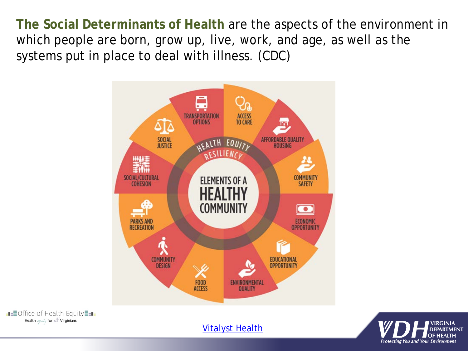**The Social Determinants of Health** are the aspects of the environment in which people are born, grow up, live, work, and age, as well as the systems put in place to deal with illness. (CDC)



**ELEOffice of Health Equity** Health equity for all Virginians

[Vitalyst Health](http://vitalysthealth.org/wp-content/uploads/2015/05/Healthy-Communities-and-social-determinants-final.pdf)

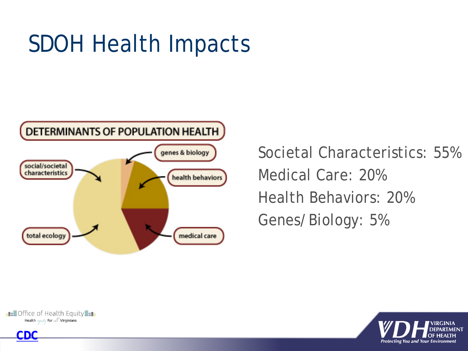# SDOH Health Impacts



Societal Characteristics: 55% Medical Care: 20% Health Behaviors: 20% Genes/Biology: 5%



**[CDC](https://www.cdc.gov/nchhstp/socialdeterminants/faq.html)**

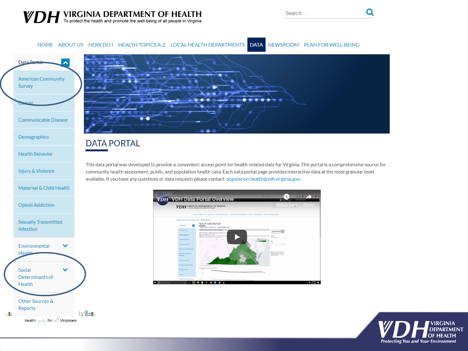Health equity for all Virginians

Q

#### HOME ABOUT US HOW DO I HEALTH TOPICS A-Z LOCAL HEALTH DEPARTMENTS DATA NEWSROOM PLAN FOR WELL-BEING



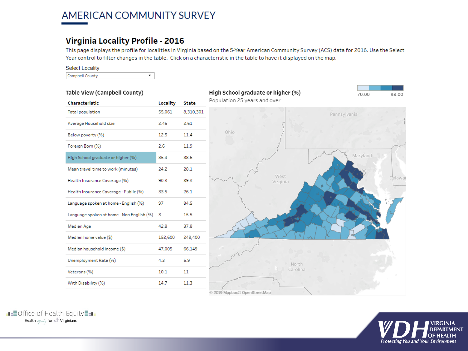### AMERICAN COMMUNITY SURVEY

### **Virginia Locality Profile - 2016**

This page displays the profile for localities in Virginia based on the 5-Year American Community Survey (ACS) data for 2016. Use the Select Year control to filter changes in the table. Click on a characteristic in the table to have it displayed on the map.

#### **Select Locality**

 $\blacktriangledown$ Campbell County





**ELEOffice of Health Equity** Health equity for all Virginians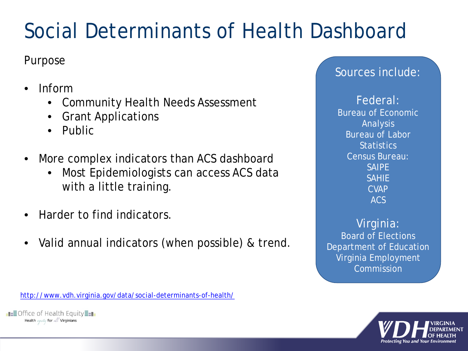## Social Determinants of Health Dashboard

## Purpose

- Inform
	- Community Health Needs Assessment
	- Grant Applications
	- Public
- More complex indicators than ACS dashboard
	- Most Epidemiologists can access ACS data with a little training.
- Harder to find indicators.
- Valid annual indicators (when possible) & trend.

<http://www.vdh.virginia.gov/data/social-determinants-of-health/>

**EEOffice of Health Equity** Health equity for all Virginians

## Sources include:

Federal: Bureau of Economic Analysis Bureau of Labor **Statistics** Census Bureau: SAIPE SAHIE CVAP ACS

Virginia: Board of Elections Department of Education Virginia Employment Commission

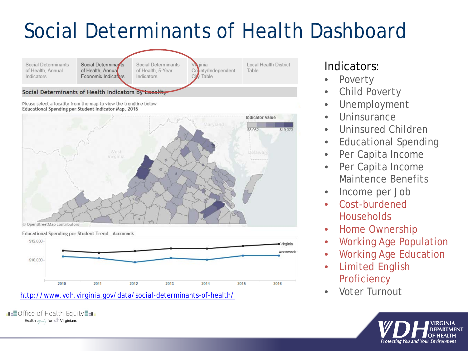## Social Determinants of Health Dashboard



Please select a locality from the map to view the trendline below







### • Voter Turnout <http://www.vdh.virginia.gov/data/social-determinants-of-health/>

**EE**Office of Health Equity Health equity for all Virginians

## Indicators:

- **Poverty**
- Child Poverty
- Unemployment
- Uninsurance
- Uninsured Children
- Educational Spending
- Per Capita Income
- Per Capita Income Maintence Benefits
- Income per Job
- Cost-burdened **Households**
- Home Ownership
- Working Age Population
- Working Age Education
- Limited English **Proficiency**
- 

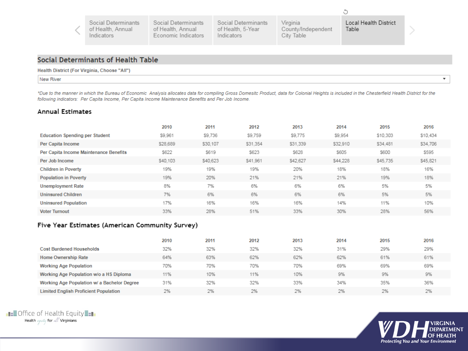|  | Social Determinants<br>of Health, Annual<br>Indicators | Social Determinants<br>of Health, Annual<br>Economic Indicators | Social Determinants<br>of Health, 5-Year<br>Indicators | Virginia<br>County/Independent<br>City Table | Local Health District<br>Table |
|--|--------------------------------------------------------|-----------------------------------------------------------------|--------------------------------------------------------|----------------------------------------------|--------------------------------|
|--|--------------------------------------------------------|-----------------------------------------------------------------|--------------------------------------------------------|----------------------------------------------|--------------------------------|

#### **Social Determinants of Health Table**

#### Health District (For Virginia, Choose "All")

₹

New River

\*Due to the manner in which the Bureau of Economic Analysis allocates data for compiling Gross Domesitc Product, data for Colonial Heights is included in the Chesterfield Health District for the following indicators: Per Capita Income, Per Capita Income Maintenance Benefits and Per Job Income.

#### **Annual Estimates**

|                                        | 2010     | 2011     | 2012     | 2013     | 2014     | 2015        | 2016     |
|----------------------------------------|----------|----------|----------|----------|----------|-------------|----------|
| <b>Education Spending per Student</b>  | \$9,961  | \$9,736  | \$9,759  | \$9,775  | \$9,954  | \$10,303    | \$10.434 |
| Per Capita Income                      | \$28,689 | \$30.107 | \$31,354 | \$31,339 | \$32.910 | \$34,481    | \$34,706 |
| Per Capita Income Maintenance Benefits | \$622    | \$619    | \$623    | \$628    | \$605    | <b>S600</b> | \$595    |
| Per Job Income                         | \$40,103 | \$40,623 | \$41,961 | \$42.627 | \$44.228 | \$45,735    | \$45,821 |
| <b>Children in Poverty</b>             | 19%      | 19%      | 19%      | 20%      | 18%      | 18%         | 16%      |
| <b>Population in Poverty</b>           | 19%      | 20%      | 21%      | 21%      | 21%      | 19%         | 18%      |
| <b>Unemployment Rate</b>               | 8%       | 7%       | 6%       | 6%       | 6%       | 5%          | 5%       |
| <b>Uninsured Children</b>              | 7%       | 6%       | 6%       | 6%       | 6%       | 5%          | 5%       |
| <b>Uninsured Population</b>            | 17%      | 16%      | 16%      | 16%      | 14%      | 11%         | 10%      |
| <b>Voter Turnout</b>                   | 33%      | 28%      | 51%      | 33%      | 30%      | 28%         | 56%      |

#### Five Year Estimates (American Community Survey)

|                                              | 2010 | 2011 | 2012 | 2013 | 2014 | 2015 | 2016 |
|----------------------------------------------|------|------|------|------|------|------|------|
| <b>Cost Burdened Households</b>              | 32%  | 32%  | 32%  | 32%  | 31%  | 29%  | 29%  |
| <b>Home Ownership Rate</b>                   | 64%  | 63%  | 62%  | 62%  | 62%  | 61%  | 61%  |
| <b>Working Age Population</b>                | 70%  | 70%  | 70%  | 70%  | 69%  | 69%  | 69%  |
| Working Age Population w/o a HS Diploma      | 11%  | 10%  | 11%  | 10%  | 9%   | 9%   | 9%   |
| Working Age Population w/ a Bachelor Degree  | 31%  | 32%  | 32%  | 33%  | 34%  | 35%  | 36%  |
| <b>Limited English Proficient Population</b> | 2%   | 2%   | 2%   | 2%   | 2%   | 2%   | 2%   |



 $\overline{\mathbf{v}}$ 

Ĉ